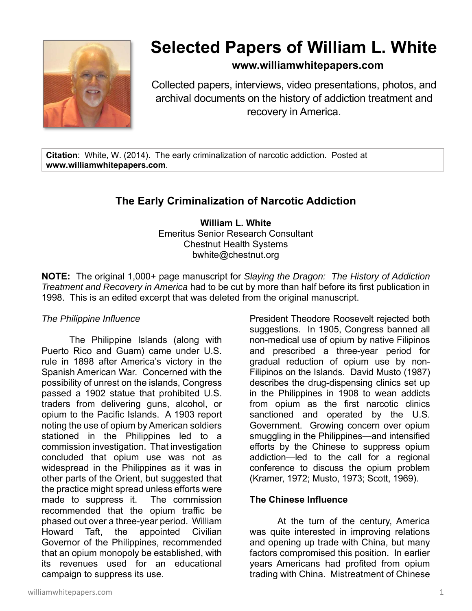

# **Selected Papers of William L. White**

# **www.williamwhitepapers.com**

Collected papers, interviews, video presentations, photos, and archival documents on the history of addiction treatment and recovery in America.

**Citation**: White, W. (2014). The early criminalization of narcotic addiction. Posted at **www.williamwhitepapers.com**.

# **The Early Criminalization of Narcotic Addiction**

**William L. White**  Emeritus Senior Research Consultant Chestnut Health Systems bwhite@chestnut.org

**NOTE:** The original 1,000+ page manuscript for *Slaying the Dragon: The History of Addiction Treatment and Recovery in America* had to be cut by more than half before its first publication in 1998. This is an edited excerpt that was deleted from the original manuscript.

#### *The Philippine Influence*

The Philippine Islands (along with Puerto Rico and Guam) came under U.S. rule in 1898 after America's victory in the Spanish American War. Concerned with the possibility of unrest on the islands, Congress passed a 1902 statue that prohibited U.S. traders from delivering guns, alcohol, or opium to the Pacific Islands. A 1903 report noting the use of opium by American soldiers stationed in the Philippines led to a commission investigation. That investigation concluded that opium use was not as widespread in the Philippines as it was in other parts of the Orient, but suggested that the practice might spread unless efforts were made to suppress it. The commission recommended that the opium traffic be phased out over a three-year period. William Howard Taft, the appointed Civilian Governor of the Philippines, recommended that an opium monopoly be established, with its revenues used for an educational campaign to suppress its use.

President Theodore Roosevelt rejected both suggestions. In 1905, Congress banned all non-medical use of opium by native Filipinos and prescribed a three-year period for gradual reduction of opium use by non-Filipinos on the Islands. David Musto (1987) describes the drug-dispensing clinics set up in the Philippines in 1908 to wean addicts from opium as the first narcotic clinics sanctioned and operated by the U.S. Government. Growing concern over opium smuggling in the Philippines—and intensified efforts by the Chinese to suppress opium addiction—led to the call for a regional conference to discuss the opium problem (Kramer, 1972; Musto, 1973; Scott, 1969).

# **The Chinese Influence**

At the turn of the century, America was quite interested in improving relations and opening up trade with China, but many factors compromised this position. In earlier years Americans had profited from opium trading with China. Mistreatment of Chinese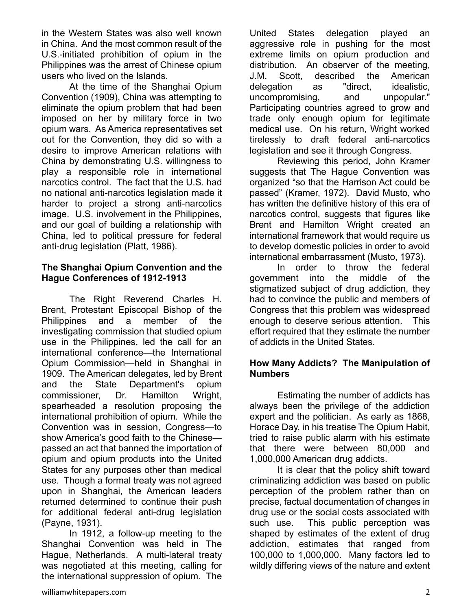in the Western States was also well known in China. And the most common result of the U.S.-initiated prohibition of opium in the Philippines was the arrest of Chinese opium users who lived on the Islands.

At the time of the Shanghai Opium Convention (1909), China was attempting to eliminate the opium problem that had been imposed on her by military force in two opium wars. As America representatives set out for the Convention, they did so with a desire to improve American relations with China by demonstrating U.S. willingness to play a responsible role in international narcotics control. The fact that the U.S. had no national anti-narcotics legislation made it harder to project a strong anti-narcotics image. U.S. involvement in the Philippines, and our goal of building a relationship with China, led to political pressure for federal anti-drug legislation (Platt, 1986).

#### **The Shanghai Opium Convention and the Hague Conferences of 1912-1913**

 The Right Reverend Charles H. Brent, Protestant Episcopal Bishop of the Philippines and a member of the investigating commission that studied opium use in the Philippines, led the call for an international conference—the International Opium Commission—held in Shanghai in 1909. The American delegates, led by Brent and the State Department's opium commissioner, Dr. Hamilton Wright, spearheaded a resolution proposing the international prohibition of opium. While the Convention was in session, Congress—to show America's good faith to the Chinese passed an act that banned the importation of opium and opium products into the United States for any purposes other than medical use. Though a formal treaty was not agreed upon in Shanghai, the American leaders returned determined to continue their push for additional federal anti-drug legislation (Payne, 1931).

In 1912, a follow-up meeting to the Shanghai Convention was held in The Hague, Netherlands. A multi-lateral treaty was negotiated at this meeting, calling for the international suppression of opium. The

United States delegation played an aggressive role in pushing for the most extreme limits on opium production and distribution. An observer of the meeting, J.M. Scott, described the American delegation as "direct, idealistic, uncompromising, and unpopular." Participating countries agreed to grow and trade only enough opium for legitimate medical use. On his return, Wright worked tirelessly to draft federal anti-narcotics legislation and see it through Congress.

Reviewing this period, John Kramer suggests that The Hague Convention was organized "so that the Harrison Act could be passed" (Kramer, 1972). David Musto, who has written the definitive history of this era of narcotics control, suggests that figures like Brent and Hamilton Wright created an international framework that would require us to develop domestic policies in order to avoid international embarrassment (Musto, 1973).

In order to throw the federal government into the middle of the stigmatized subject of drug addiction, they had to convince the public and members of Congress that this problem was widespread enough to deserve serious attention. This effort required that they estimate the number of addicts in the United States.

# **How Many Addicts? The Manipulation of Numbers**

Estimating the number of addicts has always been the privilege of the addiction expert and the politician. As early as 1868, Horace Day, in his treatise The Opium Habit, tried to raise public alarm with his estimate that there were between 80,000 and 1,000,000 American drug addicts.

 It is clear that the policy shift toward criminalizing addiction was based on public perception of the problem rather than on precise, factual documentation of changes in drug use or the social costs associated with such use. This public perception was shaped by estimates of the extent of drug addiction, estimates that ranged from 100,000 to 1,000,000. Many factors led to wildly differing views of the nature and extent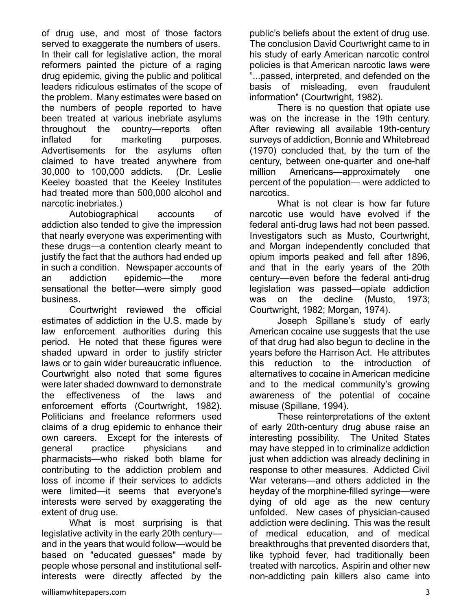of drug use, and most of those factors served to exaggerate the numbers of users. In their call for legislative action, the moral reformers painted the picture of a raging drug epidemic, giving the public and political leaders ridiculous estimates of the scope of the problem. Many estimates were based on the numbers of people reported to have been treated at various inebriate asylums throughout the country—reports often inflated for marketing purposes. Advertisements for the asylums often claimed to have treated anywhere from 30,000 to 100,000 addicts. (Dr. Leslie Keeley boasted that the Keeley Institutes had treated more than 500,000 alcohol and narcotic inebriates.)

Autobiographical accounts of addiction also tended to give the impression that nearly everyone was experimenting with these drugs—a contention clearly meant to justify the fact that the authors had ended up in such a condition. Newspaper accounts of an addiction epidemic—the more sensational the better—were simply good business.

Courtwright reviewed the official estimates of addiction in the U.S. made by law enforcement authorities during this period. He noted that these figures were shaded upward in order to justify stricter laws or to gain wider bureaucratic influence. Courtwright also noted that some figures were later shaded downward to demonstrate the effectiveness of the laws and enforcement efforts (Courtwright, 1982). Politicians and freelance reformers used claims of a drug epidemic to enhance their own careers. Except for the interests of general practice physicians and pharmacists—who risked both blame for contributing to the addiction problem and loss of income if their services to addicts were limited—it seems that everyone's interests were served by exaggerating the extent of drug use.

What is most surprising is that legislative activity in the early 20th century and in the years that would follow—would be based on "educated guesses" made by people whose personal and institutional selfinterests were directly affected by the

public's beliefs about the extent of drug use. The conclusion David Courtwright came to in his study of early American narcotic control policies is that American narcotic laws were "...passed, interpreted, and defended on the basis of misleading, even fraudulent information" (Courtwright, 1982).

There is no question that opiate use was on the increase in the 19th century. After reviewing all available 19th-century surveys of addiction, Bonnie and Whitebread (1970) concluded that, by the turn of the century, between one-quarter and one-half million Americans—approximately one percent of the population— were addicted to narcotics.

What is not clear is how far future narcotic use would have evolved if the federal anti-drug laws had not been passed. Investigators such as Musto, Courtwright, and Morgan independently concluded that opium imports peaked and fell after 1896, and that in the early years of the 20th century—even before the federal anti-drug legislation was passed—opiate addiction was on the decline (Musto, 1973; Courtwright, 1982; Morgan, 1974).

Joseph Spillane's study of early American cocaine use suggests that the use of that drug had also begun to decline in the years before the Harrison Act. He attributes this reduction to the introduction of alternatives to cocaine in American medicine and to the medical community's growing awareness of the potential of cocaine misuse (Spillane, 1994).

These reinterpretations of the extent of early 20th-century drug abuse raise an interesting possibility. The United States may have stepped in to criminalize addiction just when addiction was already declining in response to other measures. Addicted Civil War veterans—and others addicted in the heyday of the morphine-filled syringe—were dying of old age as the new century unfolded. New cases of physician-caused addiction were declining. This was the result of medical education, and of medical breakthroughs that prevented disorders that, like typhoid fever, had traditionally been treated with narcotics. Aspirin and other new non-addicting pain killers also came into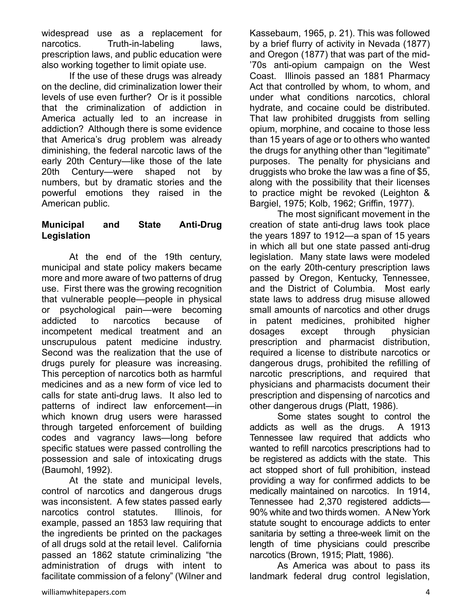widespread use as a replacement for narcotics. Truth-in-labeling laws, prescription laws, and public education were also working together to limit opiate use.

If the use of these drugs was already on the decline, did criminalization lower their levels of use even further? Or is it possible that the criminalization of addiction in America actually led to an increase in addiction? Although there is some evidence that America's drug problem was already diminishing, the federal narcotic laws of the early 20th Century—like those of the late 20th Century—were shaped not by numbers, but by dramatic stories and the powerful emotions they raised in the American public.

### **Municipal and State Anti-Drug Legislation**

At the end of the 19th century, municipal and state policy makers became more and more aware of two patterns of drug use. First there was the growing recognition that vulnerable people—people in physical or psychological pain—were becoming addicted to narcotics because of incompetent medical treatment and an unscrupulous patent medicine industry. Second was the realization that the use of drugs purely for pleasure was increasing. This perception of narcotics both as harmful medicines and as a new form of vice led to calls for state anti-drug laws. It also led to patterns of indirect law enforcement—in which known drug users were harassed through targeted enforcement of building codes and vagrancy laws—long before specific statues were passed controlling the possession and sale of intoxicating drugs (Baumohl, 1992).

At the state and municipal levels, control of narcotics and dangerous drugs was inconsistent. A few states passed early narcotics control statutes. Illinois, for example, passed an 1853 law requiring that the ingredients be printed on the packages of all drugs sold at the retail level. California passed an 1862 statute criminalizing "the administration of drugs with intent to facilitate commission of a felony" (Wilner and Kassebaum, 1965, p. 21). This was followed by a brief flurry of activity in Nevada (1877) and Oregon (1877) that was part of the mid- '70s anti-opium campaign on the West Coast. Illinois passed an 1881 Pharmacy Act that controlled by whom, to whom, and under what conditions narcotics, chloral hydrate, and cocaine could be distributed. That law prohibited druggists from selling opium, morphine, and cocaine to those less than 15 years of age or to others who wanted the drugs for anything other than "legitimate" purposes. The penalty for physicians and druggists who broke the law was a fine of \$5, along with the possibility that their licenses to practice might be revoked (Leighton & Bargiel, 1975; Kolb, 1962; Griffin, 1977).

The most significant movement in the creation of state anti-drug laws took place the years 1897 to 1912—a span of 15 years in which all but one state passed anti-drug legislation. Many state laws were modeled on the early 20th-century prescription laws passed by Oregon, Kentucky, Tennessee, and the District of Columbia. Most early state laws to address drug misuse allowed small amounts of narcotics and other drugs in patent medicines, prohibited higher dosages except through physician prescription and pharmacist distribution, required a license to distribute narcotics or dangerous drugs, prohibited the refilling of narcotic prescriptions, and required that physicians and pharmacists document their prescription and dispensing of narcotics and other dangerous drugs (Platt, 1986).

Some states sought to control the addicts as well as the drugs. A 1913 Tennessee law required that addicts who wanted to refill narcotics prescriptions had to be registered as addicts with the state. This act stopped short of full prohibition, instead providing a way for confirmed addicts to be medically maintained on narcotics. In 1914, Tennessee had 2,370 registered addicts— 90% white and two thirds women. A New York statute sought to encourage addicts to enter sanitaria by setting a three-week limit on the length of time physicians could prescribe narcotics (Brown, 1915; Platt, 1986).

 As America was about to pass its landmark federal drug control legislation,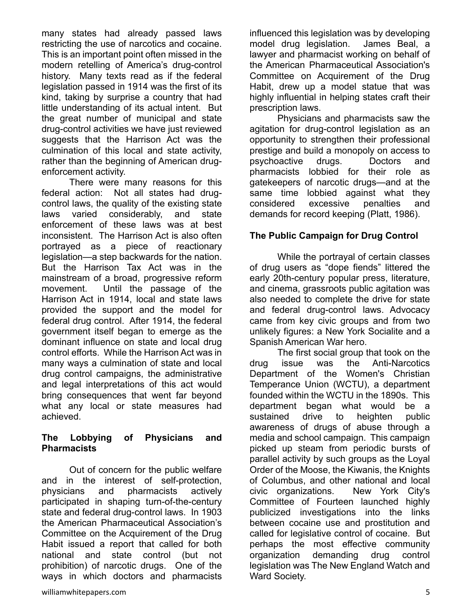many states had already passed laws restricting the use of narcotics and cocaine. This is an important point often missed in the modern retelling of America's drug-control history. Many texts read as if the federal legislation passed in 1914 was the first of its kind, taking by surprise a country that had little understanding of its actual intent. But the great number of municipal and state drug-control activities we have just reviewed suggests that the Harrison Act was the culmination of this local and state activity, rather than the beginning of American drugenforcement activity.

There were many reasons for this federal action: Not all states had drugcontrol laws, the quality of the existing state laws varied considerably, and state enforcement of these laws was at best inconsistent. The Harrison Act is also often portrayed as a piece of reactionary legislation—a step backwards for the nation. But the Harrison Tax Act was in the mainstream of a broad, progressive reform movement. Until the passage of the Harrison Act in 1914, local and state laws provided the support and the model for federal drug control. After 1914, the federal government itself began to emerge as the dominant influence on state and local drug control efforts. While the Harrison Act was in many ways a culmination of state and local drug control campaigns, the administrative and legal interpretations of this act would bring consequences that went far beyond what any local or state measures had achieved.

#### **The Lobbying of Physicians and Pharmacists**

 Out of concern for the public welfare and in the interest of self-protection, physicians and pharmacists actively participated in shaping turn-of-the-century state and federal drug-control laws. In 1903 the American Pharmaceutical Association's Committee on the Acquirement of the Drug Habit issued a report that called for both national and state control (but not prohibition) of narcotic drugs. One of the ways in which doctors and pharmacists

influenced this legislation was by developing model drug legislation. James Beal, a lawyer and pharmacist working on behalf of the American Pharmaceutical Association's Committee on Acquirement of the Drug Habit, drew up a model statue that was highly influential in helping states craft their prescription laws.

Physicians and pharmacists saw the agitation for drug-control legislation as an opportunity to strengthen their professional prestige and build a monopoly on access to psychoactive drugs. Doctors and pharmacists lobbied for their role as gatekeepers of narcotic drugs—and at the same time lobbied against what they considered excessive penalties and demands for record keeping (Platt, 1986).

#### **The Public Campaign for Drug Control**

While the portrayal of certain classes of drug users as "dope fiends" littered the early 20th-century popular press, literature, and cinema, grassroots public agitation was also needed to complete the drive for state and federal drug-control laws. Advocacy came from key civic groups and from two unlikely figures: a New York Socialite and a Spanish American War hero.

The first social group that took on the drug issue was the Anti-Narcotics Department of the Women's Christian Temperance Union (WCTU), a department founded within the WCTU in the 1890s. This department began what would be a sustained drive to heighten public awareness of drugs of abuse through a media and school campaign. This campaign picked up steam from periodic bursts of parallel activity by such groups as the Loyal Order of the Moose, the Kiwanis, the Knights of Columbus, and other national and local civic organizations. New York City's Committee of Fourteen launched highly publicized investigations into the links between cocaine use and prostitution and called for legislative control of cocaine. But perhaps the most effective community organization demanding drug control legislation was The New England Watch and Ward Society.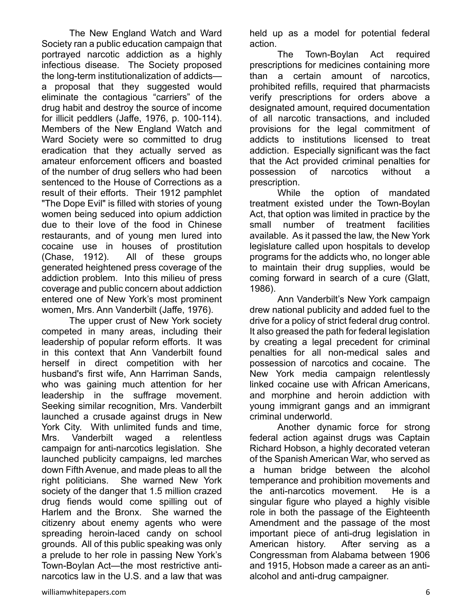The New England Watch and Ward Society ran a public education campaign that portrayed narcotic addiction as a highly infectious disease. The Society proposed the long-term institutionalization of addicts a proposal that they suggested would eliminate the contagious "carriers" of the drug habit and destroy the source of income for illicit peddlers (Jaffe, 1976, p. 100-114). Members of the New England Watch and Ward Society were so committed to drug eradication that they actually served as amateur enforcement officers and boasted of the number of drug sellers who had been sentenced to the House of Corrections as a result of their efforts. Their 1912 pamphlet "The Dope Evil" is filled with stories of young women being seduced into opium addiction due to their love of the food in Chinese restaurants, and of young men lured into cocaine use in houses of prostitution (Chase, 1912). All of these groups generated heightened press coverage of the addiction problem. Into this milieu of press coverage and public concern about addiction entered one of New York's most prominent women, Mrs. Ann Vanderbilt (Jaffe, 1976).

The upper crust of New York society competed in many areas, including their leadership of popular reform efforts. It was in this context that Ann Vanderbilt found herself in direct competition with her husband's first wife, Ann Harriman Sands, who was gaining much attention for her leadership in the suffrage movement. Seeking similar recognition, Mrs. Vanderbilt launched a crusade against drugs in New York City. With unlimited funds and time, Mrs. Vanderbilt waged a relentless campaign for anti-narcotics legislation. She launched publicity campaigns, led marches down Fifth Avenue, and made pleas to all the right politicians. She warned New York society of the danger that 1.5 million crazed drug fiends would come spilling out of Harlem and the Bronx. She warned the citizenry about enemy agents who were spreading heroin-laced candy on school grounds. All of this public speaking was only a prelude to her role in passing New York's Town-Boylan Act—the most restrictive antinarcotics law in the U.S. and a law that was

held up as a model for potential federal action.

The Town-Boylan Act required prescriptions for medicines containing more than a certain amount of narcotics, prohibited refills, required that pharmacists verify prescriptions for orders above a designated amount, required documentation of all narcotic transactions, and included provisions for the legal commitment of addicts to institutions licensed to treat addiction. Especially significant was the fact that the Act provided criminal penalties for possession of narcotics without a prescription.

While the option of mandated treatment existed under the Town-Boylan Act, that option was limited in practice by the small number of treatment facilities available. As it passed the law, the New York legislature called upon hospitals to develop programs for the addicts who, no longer able to maintain their drug supplies, would be coming forward in search of a cure (Glatt, 1986).

Ann Vanderbilt's New York campaign drew national publicity and added fuel to the drive for a policy of strict federal drug control. It also greased the path for federal legislation by creating a legal precedent for criminal penalties for all non-medical sales and possession of narcotics and cocaine. The New York media campaign relentlessly linked cocaine use with African Americans, and morphine and heroin addiction with young immigrant gangs and an immigrant criminal underworld.

Another dynamic force for strong federal action against drugs was Captain Richard Hobson, a highly decorated veteran of the Spanish American War, who served as a human bridge between the alcohol temperance and prohibition movements and the anti-narcotics movement. He is a singular figure who played a highly visible role in both the passage of the Eighteenth Amendment and the passage of the most important piece of anti-drug legislation in American history. After serving as a Congressman from Alabama between 1906 and 1915, Hobson made a career as an antialcohol and anti-drug campaigner.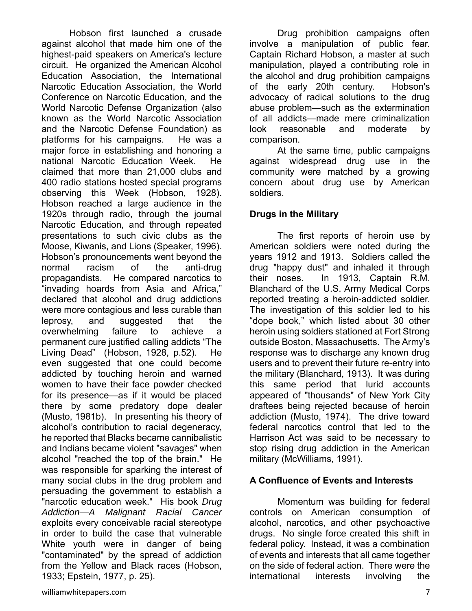Hobson first launched a crusade against alcohol that made him one of the highest-paid speakers on America's lecture circuit. He organized the American Alcohol Education Association, the International Narcotic Education Association, the World Conference on Narcotic Education, and the World Narcotic Defense Organization (also known as the World Narcotic Association and the Narcotic Defense Foundation) as platforms for his campaigns. He was a major force in establishing and honoring a national Narcotic Education Week. He claimed that more than 21,000 clubs and 400 radio stations hosted special programs observing this Week (Hobson, 1928). Hobson reached a large audience in the 1920s through radio, through the journal Narcotic Education, and through repeated presentations to such civic clubs as the Moose, Kiwanis, and Lions (Speaker, 1996). Hobson's pronouncements went beyond the normal racism of the anti-drug propagandists. He compared narcotics to "invading hoards from Asia and Africa," declared that alcohol and drug addictions were more contagious and less curable than leprosy, and suggested that the overwhelming failure to achieve a permanent cure justified calling addicts "The Living Dead" (Hobson, 1928, p.52). He even suggested that one could become addicted by touching heroin and warned women to have their face powder checked for its presence—as if it would be placed there by some predatory dope dealer (Musto, 1981b). In presenting his theory of alcohol's contribution to racial degeneracy, he reported that Blacks became cannibalistic and Indians became violent "savages" when alcohol "reached the top of the brain." He was responsible for sparking the interest of many social clubs in the drug problem and persuading the government to establish a "narcotic education week." His book *Drug Addiction—A Malignant Racial Cancer* exploits every conceivable racial stereotype in order to build the case that vulnerable White youth were in danger of being "contaminated" by the spread of addiction from the Yellow and Black races (Hobson, 1933; Epstein, 1977, p. 25).

Drug prohibition campaigns often involve a manipulation of public fear. Captain Richard Hobson, a master at such manipulation, played a contributing role in the alcohol and drug prohibition campaigns of the early 20th century. Hobson's advocacy of radical solutions to the drug abuse problem—such as the extermination of all addicts—made mere criminalization look reasonable and moderate by comparison.

At the same time, public campaigns against widespread drug use in the community were matched by a growing concern about drug use by American soldiers.

#### **Drugs in the Military**

The first reports of heroin use by American soldiers were noted during the years 1912 and 1913. Soldiers called the drug "happy dust" and inhaled it through their noses. In 1913, Captain R.M. Blanchard of the U.S. Army Medical Corps reported treating a heroin-addicted soldier. The investigation of this soldier led to his "dope book," which listed about 30 other heroin using soldiers stationed at Fort Strong outside Boston, Massachusetts. The Army's response was to discharge any known drug users and to prevent their future re-entry into the military (Blanchard, 1913). It was during this same period that lurid accounts appeared of "thousands" of New York City draftees being rejected because of heroin addiction (Musto, 1974). The drive toward federal narcotics control that led to the Harrison Act was said to be necessary to stop rising drug addiction in the American military (McWilliams, 1991).

# **A Confluence of Events and Interests**

Momentum was building for federal controls on American consumption of alcohol, narcotics, and other psychoactive drugs. No single force created this shift in federal policy. Instead, it was a combination of events and interests that all came together on the side of federal action. There were the international interests involving the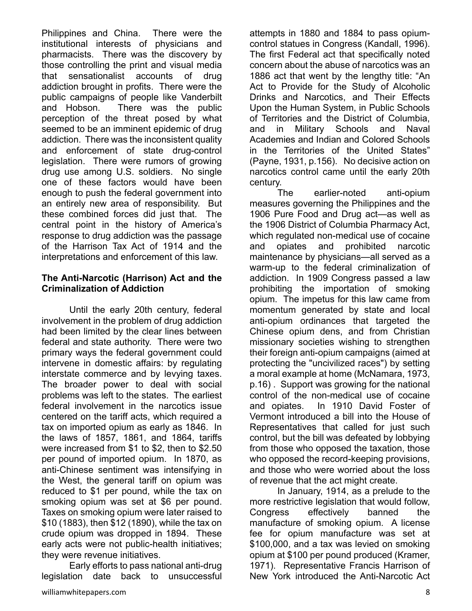Philippines and China. There were the institutional interests of physicians and pharmacists. There was the discovery by those controlling the print and visual media that sensationalist accounts of drug addiction brought in profits. There were the public campaigns of people like Vanderbilt and Hobson. There was the public perception of the threat posed by what seemed to be an imminent epidemic of drug addiction. There was the inconsistent quality and enforcement of state drug-control legislation. There were rumors of growing drug use among U.S. soldiers. No single one of these factors would have been enough to push the federal government into an entirely new area of responsibility. But these combined forces did just that. The central point in the history of America's response to drug addiction was the passage of the Harrison Tax Act of 1914 and the interpretations and enforcement of this law.

#### **The Anti-Narcotic (Harrison) Act and the Criminalization of Addiction**

 Until the early 20th century, federal involvement in the problem of drug addiction had been limited by the clear lines between federal and state authority. There were two primary ways the federal government could intervene in domestic affairs: by regulating interstate commerce and by levying taxes. The broader power to deal with social problems was left to the states. The earliest federal involvement in the narcotics issue centered on the tariff acts, which required a tax on imported opium as early as 1846. In the laws of 1857, 1861, and 1864, tariffs were increased from \$1 to \$2, then to \$2.50 per pound of imported opium. In 1870, as anti-Chinese sentiment was intensifying in the West, the general tariff on opium was reduced to \$1 per pound, while the tax on smoking opium was set at \$6 per pound. Taxes on smoking opium were later raised to \$10 (1883), then \$12 (1890), while the tax on crude opium was dropped in 1894. These early acts were not public-health initiatives; they were revenue initiatives.

Early efforts to pass national anti-drug legislation date back to unsuccessful attempts in 1880 and 1884 to pass opiumcontrol statues in Congress (Kandall, 1996). The first Federal act that specifically noted concern about the abuse of narcotics was an 1886 act that went by the lengthy title: "An Act to Provide for the Study of Alcoholic Drinks and Narcotics, and Their Effects Upon the Human System, in Public Schools of Territories and the District of Columbia, and in Military Schools and Naval Academies and Indian and Colored Schools in the Territories of the United States" (Payne, 1931, p.156). No decisive action on narcotics control came until the early 20th century.

The earlier-noted anti-opium measures governing the Philippines and the 1906 Pure Food and Drug act—as well as the 1906 District of Columbia Pharmacy Act, which regulated non-medical use of cocaine and opiates and prohibited narcotic maintenance by physicians—all served as a warm-up to the federal criminalization of addiction. In 1909 Congress passed a law prohibiting the importation of smoking opium. The impetus for this law came from momentum generated by state and local anti-opium ordinances that targeted the Chinese opium dens, and from Christian missionary societies wishing to strengthen their foreign anti-opium campaigns (aimed at protecting the "uncivilized races") by setting a moral example at home (McNamara, 1973, p.16) . Support was growing for the national control of the non-medical use of cocaine and opiates. In 1910 David Foster of Vermont introduced a bill into the House of Representatives that called for just such control, but the bill was defeated by lobbying from those who opposed the taxation, those who opposed the record-keeping provisions, and those who were worried about the loss of revenue that the act might create.

 In January, 1914, as a prelude to the more restrictive legislation that would follow, Congress effectively banned the manufacture of smoking opium. A license fee for opium manufacture was set at \$100,000, and a tax was levied on smoking opium at \$100 per pound produced (Kramer, 1971). Representative Francis Harrison of New York introduced the Anti-Narcotic Act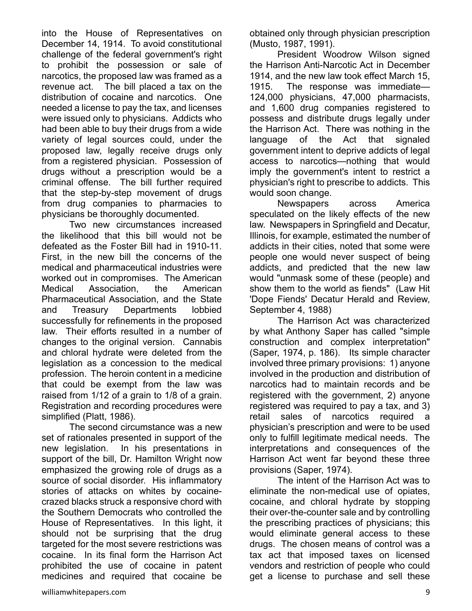into the House of Representatives on December 14, 1914. To avoid constitutional challenge of the federal government's right to prohibit the possession or sale of narcotics, the proposed law was framed as a revenue act. The bill placed a tax on the distribution of cocaine and narcotics. One needed a license to pay the tax, and licenses were issued only to physicians. Addicts who had been able to buy their drugs from a wide variety of legal sources could, under the proposed law, legally receive drugs only from a registered physician. Possession of drugs without a prescription would be a criminal offense. The bill further required that the step-by-step movement of drugs from drug companies to pharmacies to physicians be thoroughly documented.

Two new circumstances increased the likelihood that this bill would not be defeated as the Foster Bill had in 1910-11. First, in the new bill the concerns of the medical and pharmaceutical industries were worked out in compromises. The American Medical Association, the American Pharmaceutical Association, and the State and Treasury Departments lobbied successfully for refinements in the proposed law. Their efforts resulted in a number of changes to the original version. Cannabis and chloral hydrate were deleted from the legislation as a concession to the medical profession. The heroin content in a medicine that could be exempt from the law was raised from 1/12 of a grain to 1/8 of a grain. Registration and recording procedures were simplified (Platt, 1986).

The second circumstance was a new set of rationales presented in support of the new legislation. In his presentations in support of the bill, Dr. Hamilton Wright now emphasized the growing role of drugs as a source of social disorder. His inflammatory stories of attacks on whites by cocainecrazed blacks struck a responsive chord with the Southern Democrats who controlled the House of Representatives. In this light, it should not be surprising that the drug targeted for the most severe restrictions was cocaine. In its final form the Harrison Act prohibited the use of cocaine in patent medicines and required that cocaine be

obtained only through physician prescription (Musto, 1987, 1991).

 President Woodrow Wilson signed the Harrison Anti-Narcotic Act in December 1914, and the new law took effect March 15, 1915. The response was immediate— 124,000 physicians, 47,000 pharmacists, and 1,600 drug companies registered to possess and distribute drugs legally under the Harrison Act. There was nothing in the language of the Act that signaled government intent to deprive addicts of legal access to narcotics—nothing that would imply the government's intent to restrict a physician's right to prescribe to addicts. This would soon change.

Newspapers across America speculated on the likely effects of the new law. Newspapers in Springfield and Decatur, Illinois, for example, estimated the number of addicts in their cities, noted that some were people one would never suspect of being addicts, and predicted that the new law would "unmask some of these (people) and show them to the world as fiends" (Law Hit 'Dope Fiends' Decatur Herald and Review, September 4, 1988)

The Harrison Act was characterized by what Anthony Saper has called "simple construction and complex interpretation" (Saper, 1974, p. 186). Its simple character involved three primary provisions: 1) anyone involved in the production and distribution of narcotics had to maintain records and be registered with the government, 2) anyone registered was required to pay a tax, and 3) retail sales of narcotics required a physician's prescription and were to be used only to fulfill legitimate medical needs. The interpretations and consequences of the Harrison Act went far beyond these three provisions (Saper, 1974).

The intent of the Harrison Act was to eliminate the non-medical use of opiates, cocaine, and chloral hydrate by stopping their over-the-counter sale and by controlling the prescribing practices of physicians; this would eliminate general access to these drugs. The chosen means of control was a tax act that imposed taxes on licensed vendors and restriction of people who could get a license to purchase and sell these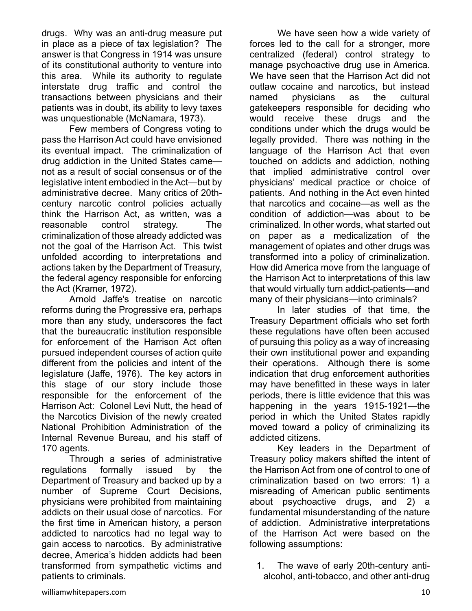drugs. Why was an anti-drug measure put in place as a piece of tax legislation? The answer is that Congress in 1914 was unsure of its constitutional authority to venture into this area. While its authority to regulate interstate drug traffic and control the transactions between physicians and their patients was in doubt, its ability to levy taxes was unquestionable (McNamara, 1973).

Few members of Congress voting to pass the Harrison Act could have envisioned its eventual impact. The criminalization of drug addiction in the United States came not as a result of social consensus or of the legislative intent embodied in the Act—but by administrative decree. Many critics of 20thcentury narcotic control policies actually think the Harrison Act, as written, was a reasonable control strategy. The criminalization of those already addicted was not the goal of the Harrison Act. This twist unfolded according to interpretations and actions taken by the Department of Treasury, the federal agency responsible for enforcing the Act (Kramer, 1972).

Arnold Jaffe's treatise on narcotic reforms during the Progressive era, perhaps more than any study, underscores the fact that the bureaucratic institution responsible for enforcement of the Harrison Act often pursued independent courses of action quite different from the policies and intent of the legislature (Jaffe, 1976). The key actors in this stage of our story include those responsible for the enforcement of the Harrison Act: Colonel Levi Nutt, the head of the Narcotics Division of the newly created National Prohibition Administration of the Internal Revenue Bureau, and his staff of 170 agents.

Through a series of administrative regulations formally issued by the Department of Treasury and backed up by a number of Supreme Court Decisions, physicians were prohibited from maintaining addicts on their usual dose of narcotics. For the first time in American history, a person addicted to narcotics had no legal way to gain access to narcotics. By administrative decree, America's hidden addicts had been transformed from sympathetic victims and patients to criminals.

We have seen how a wide variety of forces led to the call for a stronger, more centralized (federal) control strategy to manage psychoactive drug use in America. We have seen that the Harrison Act did not outlaw cocaine and narcotics, but instead named physicians as the cultural gatekeepers responsible for deciding who would receive these drugs and the conditions under which the drugs would be legally provided. There was nothing in the language of the Harrison Act that even touched on addicts and addiction, nothing that implied administrative control over physicians' medical practice or choice of patients. And nothing in the Act even hinted that narcotics and cocaine—as well as the condition of addiction—was about to be criminalized. In other words, what started out on paper as a medicalization of the management of opiates and other drugs was transformed into a policy of criminalization. How did America move from the language of the Harrison Act to interpretations of this law that would virtually turn addict-patients—and many of their physicians—into criminals?

In later studies of that time, the Treasury Department officials who set forth these regulations have often been accused of pursuing this policy as a way of increasing their own institutional power and expanding their operations. Although there is some indication that drug enforcement authorities may have benefitted in these ways in later periods, there is little evidence that this was happening in the years 1915-1921—the period in which the United States rapidly moved toward a policy of criminalizing its addicted citizens.

Key leaders in the Department of Treasury policy makers shifted the intent of the Harrison Act from one of control to one of criminalization based on two errors: 1) a misreading of American public sentiments about psychoactive drugs, and 2) a fundamental misunderstanding of the nature of addiction. Administrative interpretations of the Harrison Act were based on the following assumptions:

1. The wave of early 20th-century antialcohol, anti-tobacco, and other anti-drug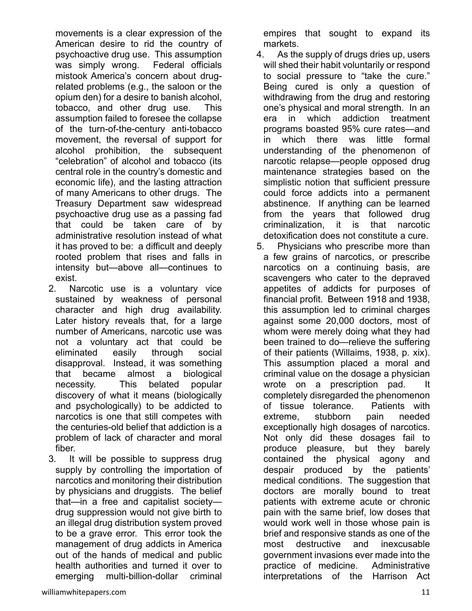movements is a clear expression of the American desire to rid the country of psychoactive drug use. This assumption was simply wrong. Federal officials mistook America's concern about drugrelated problems (e.g., the saloon or the opium den) for a desire to banish alcohol, tobacco, and other drug use. This assumption failed to foresee the collapse of the turn-of-the-century anti-tobacco movement, the reversal of support for alcohol prohibition, the subsequent "celebration" of alcohol and tobacco (its central role in the country's domestic and economic life), and the lasting attraction of many Americans to other drugs. The Treasury Department saw widespread psychoactive drug use as a passing fad that could be taken care of by administrative resolution instead of what it has proved to be: a difficult and deeply rooted problem that rises and falls in intensity but—above all—continues to exist.

- 2. Narcotic use is a voluntary vice sustained by weakness of personal character and high drug availability. Later history reveals that, for a large number of Americans, narcotic use was not a voluntary act that could be eliminated easily through social disapproval. Instead, it was something that became almost a biological necessity. This belated popular discovery of what it means (biologically and psychologically) to be addicted to narcotics is one that still competes with the centuries-old belief that addiction is a problem of lack of character and moral fiber.
- 3. It will be possible to suppress drug supply by controlling the importation of narcotics and monitoring their distribution by physicians and druggists. The belief that—in a free and capitalist society drug suppression would not give birth to an illegal drug distribution system proved to be a grave error. This error took the management of drug addicts in America out of the hands of medical and public health authorities and turned it over to emerging multi-billion-dollar criminal

empires that sought to expand its markets.

- 4. As the supply of drugs dries up, users will shed their habit voluntarily or respond to social pressure to "take the cure." Being cured is only a question of withdrawing from the drug and restoring one's physical and moral strength. In an era in which addiction treatment programs boasted 95% cure rates—and in which there was little formal understanding of the phenomenon of narcotic relapse—people opposed drug maintenance strategies based on the simplistic notion that sufficient pressure could force addicts into a permanent abstinence. If anything can be learned from the years that followed drug criminalization, it is that narcotic detoxification does not constitute a cure.
- 5. Physicians who prescribe more than a few grains of narcotics, or prescribe narcotics on a continuing basis, are scavengers who cater to the depraved appetites of addicts for purposes of financial profit. Between 1918 and 1938, this assumption led to criminal charges against some 20,000 doctors, most of whom were merely doing what they had been trained to do—relieve the suffering of their patients (Willaims, 1938, p. xix). This assumption placed a moral and criminal value on the dosage a physician wrote on a prescription pad. completely disregarded the phenomenon of tissue tolerance. Patients with extreme, stubborn pain needed exceptionally high dosages of narcotics. Not only did these dosages fail to produce pleasure, but they barely contained the physical agony and despair produced by the patients' medical conditions. The suggestion that doctors are morally bound to treat patients with extreme acute or chronic pain with the same brief, low doses that would work well in those whose pain is brief and responsive stands as one of the most destructive and inexcusable government invasions ever made into the practice of medicine. Administrative interpretations of the Harrison Act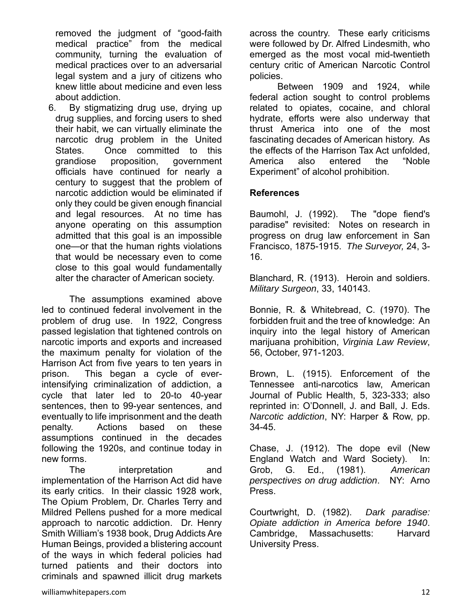removed the judgment of "good-faith medical practice" from the medical community, turning the evaluation of medical practices over to an adversarial legal system and a jury of citizens who knew little about medicine and even less about addiction.

6. By stigmatizing drug use, drying up drug supplies, and forcing users to shed their habit, we can virtually eliminate the narcotic drug problem in the United States. Once committed to this grandiose proposition, government officials have continued for nearly a century to suggest that the problem of narcotic addiction would be eliminated if only they could be given enough financial and legal resources. At no time has anyone operating on this assumption admitted that this goal is an impossible one—or that the human rights violations that would be necessary even to come close to this goal would fundamentally alter the character of American society.

The assumptions examined above led to continued federal involvement in the problem of drug use. In 1922, Congress passed legislation that tightened controls on narcotic imports and exports and increased the maximum penalty for violation of the Harrison Act from five years to ten years in prison. This began a cycle of everintensifying criminalization of addiction, a cycle that later led to 20-to 40-year sentences, then to 99-year sentences, and eventually to life imprisonment and the death penalty. Actions based on these assumptions continued in the decades following the 1920s, and continue today in new forms.

The interpretation and implementation of the Harrison Act did have its early critics. In their classic 1928 work, The Opium Problem, Dr. Charles Terry and Mildred Pellens pushed for a more medical approach to narcotic addiction. Dr. Henry Smith William's 1938 book, Drug Addicts Are Human Beings, provided a blistering account of the ways in which federal policies had turned patients and their doctors into criminals and spawned illicit drug markets

across the country. These early criticisms were followed by Dr. Alfred Lindesmith, who emerged as the most vocal mid-twentieth century critic of American Narcotic Control policies.

Between 1909 and 1924, while federal action sought to control problems related to opiates, cocaine, and chloral hydrate, efforts were also underway that thrust America into one of the most fascinating decades of American history. As the effects of the Harrison Tax Act unfolded, America also entered the "Noble Experiment" of alcohol prohibition.

# **References**

Baumohl, J. (1992). The "dope fiend's paradise" revisited: Notes on research in progress on drug law enforcement in San Francisco, 1875-1915. *The Surveyor,* 24, 3- 16.

Blanchard, R. (1913). Heroin and soldiers. *Military Surgeon*, 33, 140143.

Bonnie, R. & Whitebread, C. (1970). The forbidden fruit and the tree of knowledge: An inquiry into the legal history of American marijuana prohibition, *Virginia Law Review*, 56, October, 971-1203.

Brown, L. (1915). Enforcement of the Tennessee anti-narcotics law, American Journal of Public Health, 5, 323-333; also reprinted in: O'Donnell, J. and Ball, J. Eds. *Narcotic addiction*, NY: Harper & Row, pp. 34-45.

Chase, J. (1912). The dope evil (New England Watch and Ward Society). In: Grob, G. Ed., (1981). *American perspectives on drug addiction*. NY: Arno Press.

Courtwright, D. (1982). *Dark paradise: Opiate addiction in America before 1940*. Cambridge, Massachusetts: Harvard University Press.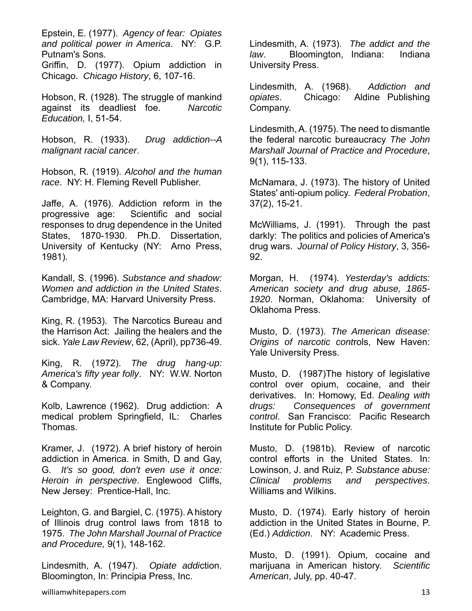Epstein, E. (1977). *Agency of fear: Opiates and political power in America*. NY: G.P. Putnam's Sons.

Griffin, D. (1977). Opium addiction in Chicago. *Chicago History*, 6, 107-16.

Hobson, R. (1928). The struggle of mankind against its deadliest foe. *Narcotic Education,* I, 51-54.

Hobson, R. (1933). *Drug addiction--A malignant racial cancer*.

Hobson, R. (1919). *Alcohol and the human race*. NY: H. Fleming Revell Publisher.

Jaffe, A. (1976). Addiction reform in the progressive age: Scientific and social responses to drug dependence in the United States, 1870-1930. Ph.D. Dissertation, University of Kentucky (NY: Arno Press, 1981).

Kandall, S. (1996). *Substance and shadow: Women and addiction in the United States*. Cambridge, MA: Harvard University Press.

King, R. (1953). The Narcotics Bureau and the Harrison Act: Jailing the healers and the sick. *Yale Law Review*, 62, (April), pp736-49.

King, R. (1972). *The drug hang-up: America's fifty year folly*. NY: W.W. Norton & Company.

Kolb, Lawrence (1962). Drug addiction: A medical problem Springfield, IL: Charles Thomas.

Kramer, J. (1972). A brief history of heroin addiction in America. in Smith, D and Gay, G. *It's so good, don't even use it once: Heroin in perspective*. Englewood Cliffs, New Jersey: Prentice-Hall, Inc.

Leighton, G. and Bargiel, C. (1975). A history of Illinois drug control laws from 1818 to 1975. *The John Marshall Journal of Practice and Procedure,* 9(1), 148-162.

Lindesmith, A. (1947). *Opiate addi*ction. Bloomington, In: Principia Press, Inc.

Lindesmith, A. (1973). *The addict and the law*. Bloomington, Indiana: Indiana University Press.

Lindesmith, A. (1968). *Addiction and opiates*. Chicago: Aldine Publishing Company.

Lindesmith, A. (1975). The need to dismantle the federal narcotic bureaucracy *The John Marshall Journal of Practice and Procedure*, 9(1), 115-133.

McNamara, J. (1973). The history of United States' anti-opium policy. *Federal Probation*, 37(2), 15-21.

McWilliams, J. (1991). Through the past darkly: The politics and policies of America's drug wars. *Journal of Policy History*, 3, 356- 92.

Morgan, H. (1974). *Yesterday's addicts: American society and drug abuse, 1865- 1920*. Norman, Oklahoma: University of Oklahoma Press.

Musto, D. (1973). *The American disease: Origins of narcotic cont*rols, New Haven: Yale University Press.

Musto, D. (1987)The history of legislative control over opium, cocaine, and their derivatives. In: Homowy, Ed. *Dealing with drugs: Consequences of government control*. San Francisco: Pacific Research Institute for Public Policy.

Musto, D. (1981b). Review of narcotic control efforts in the United States. In: Lowinson, J. and Ruiz, P. *Substance abuse: Clinical problems and perspectives*. Williams and Wilkins.

Musto, D. (1974). Early history of heroin addiction in the United States in Bourne, P. (Ed.) *Addiction*. NY: Academic Press.

Musto, D. (1991). Opium, cocaine and marijuana in American history. *Scientific American*, July, pp. 40-47.